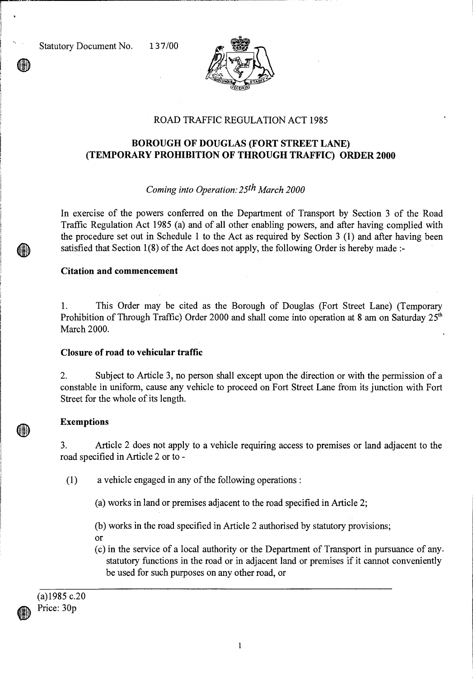

# ROAD TRAFFIC REGULATION ACT 1985

# **BOROUGH OF DOUGLAS (FORT STREET LANE) (TEMPORARY PROHIBITION OF THROUGH TRAFFIC) ORDER 2000**

# *Coming into Operation: 25th March 2000*

In exercise of the powers conferred on the Department of Transport by Section 3 of the Road Traffic Regulation Act 1985 (a) and of all other enabling powers, and after having complied with the procedure set out in Schedule 1 to the Act as required by Section 3 (1) and after having been satisfied that Section 1(8) of the Act does not apply, the following Order is hereby made :-

#### **Citation and commencement**

1. This Order may be cited as the Borough of Douglas (Fort Street Lane) (Temporary Prohibition of Through Traffic) Order 2000 and shall come into operation at 8 am on Saturday  $25<sup>th</sup>$ March 2000.

## **Closure of road to vehicular traffic**

2. Subject to Article 3, no person shall except upon the direction or with the permission of a constable in uniform, cause any vehicle to proceed on Fort Street Lane from its junction with Fort Street for the whole of its length.

## **Exemptions**

3. Article 2 does not apply to a vehicle requiring access to premises or land adjacent to the road specified in Article 2 or to -

(1) a vehicle engaged in any of the following operations :

(a) works in land or premises adjacent to the road specified in Article 2;

(b) works in the road specified in Article 2 authorised by statutory provisions;

or

(c) in the service of a local authority or the Department of Transport in pursuance of any. statutory functions in the road or in adjacent land or premises if it cannot conveniently be used for such purposes on any other road, or

(a)1985 c.20 Price: 30p